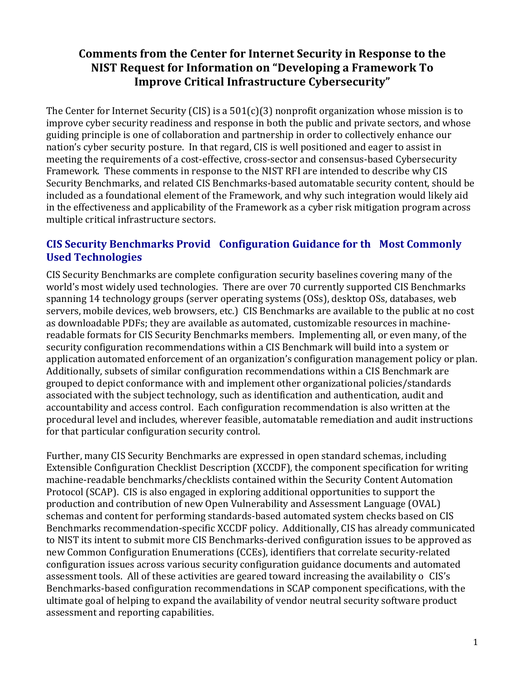# **Comments from the Center for Internet Security in Response to the NIST Request for Information on "Developing a Framework To Improve Critical Infrastructure Cybersecurity"**

The Center for Internet Security (CIS) is a  $501(c)(3)$  nonprofit organization whose mission is to improve cyber security readiness and response in both the public and private sectors, and whose guiding principle is one of collaboration and partnership in order to collectively enhance our nation's cyber security posture. In that regard, CIS is well positioned and eager to assist in meeting the requirements of a cost-effective, cross-sector and consensus-based Cybersecurity Framework. These comments in response to the NIST RFI are intended to describe why CIS Security Benchmarks, and related CIS Benchmarks-based automatable security content, should be included as a foundational element of the Framework, and why such integration would likely aid in the effectiveness and applicability of the Framework as a cyber risk mitigation program across multiple critical infrastructure sectors.

# **CIS Security Benchmarks Provid Configuration Guidance for th Most Commonly Used Technologies**

CIS Security Benchmarks are complete configuration security baselines covering many of the world's most widely used technologies. There are over 70 currently supported CIS Benchmarks spanning 14 technology groups (server operating systems (OSs), desktop OSs, databases, web servers, mobile devices, web browsers, etc.) CIS Benchmarks are available to the public at no cost as downloadable PDFs; they are available as automated, customizable resources in machinereadable formats for CIS Security Benchmarks members. Implementing all, or even many, of the security configuration recommendations within a CIS Benchmark will build into a system or application automated enforcement of an organization's configuration management policy or plan. Additionally, subsets of similar configuration recommendations within a CIS Benchmark are grouped to depict conformance with and implement other organizational policies/standards associated with the subject technology, such as identification and authentication, audit and accountability and access control. Each configuration recommendation is also written at the procedural level and includes, wherever feasible, automatable remediation and audit instructions for that particular configuration security control.

Further, many CIS Security Benchmarks are expressed in open standard schemas, including Extensible Configuration Checklist Description (XCCDF), the component specification for writing machine-readable benchmarks/checklists contained within the Security Content Automation Protocol (SCAP). CIS is also engaged in exploring additional opportunities to support the production and contribution of new Open Vulnerability and Assessment Language (OVAL) schemas and content for performing standards-based automated system checks based on CIS Benchmarks recommendation-specific XCCDF policy. Additionally, CIS has already communicated to NIST its intent to submit more CIS Benchmarks-derived configuration issues to be approved as new Common Configuration Enumerations (CCEs), identifiers that correlate security-related configuration issues across various security configuration guidance documents and automated assessment tools. All of these activities are geared toward increasing the availability o CIS's Benchmarks-based configuration recommendations in SCAP component specifications, with the ultimate goal of helping to expand the availability of vendor neutral security software product assessment and reporting capabilities.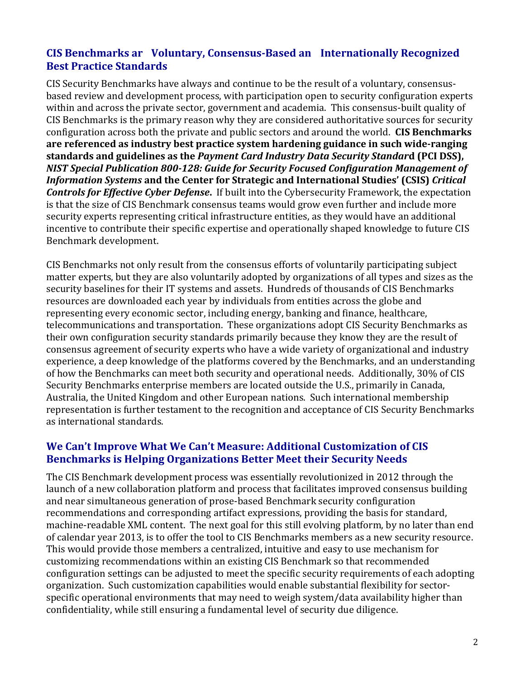# **CIS Benchmarks ar Voluntary, Consensus-Based an Internationally Recognized Best Practice Standards**

CIS Security Benchmarks have always and continue to be the result of a voluntary, consensusbased review and development process, with participation open to security configuration experts within and across the private sector, government and academia. This consensus-built quality of CIS Benchmarks is the primary reason why they are considered authoritative sources for security configuration across both the private and public sectors and around the world. **CIS Benchmarks** are referenced as industry best practice system hardening guidance in such wide-ranging **standards and guidelines as the Payment Card Industry Data Security Standard (PCI DSS),** *NIST Special Publication 800-128: Guide for Security Focused Configuration Management of Information Systems* **and the Center for Strategic and International Studies' (CSIS)** *Critical Controls for Effective Cyber Defense***.** If built into the Cybersecurity Framework, the expectation is that the size of CIS Benchmark consensus teams would grow even further and include more security experts representing critical infrastructure entities, as they would have an additional incentive to contribute their specific expertise and operationally shaped knowledge to future CIS Benchmark development.

CIS Benchmarks not only result from the consensus efforts of voluntarily participating subject matter experts, but they are also voluntarily adopted by organizations of all types and sizes as the security baselines for their IT systems and assets. Hundreds of thousands of CIS Benchmarks resources are downloaded each year by individuals from entities across the globe and representing every economic sector, including energy, banking and finance, healthcare, telecommunications and transportation. These organizations adopt CIS Security Benchmarks as their own configuration security standards primarily because they know they are the result of consensus agreement of security experts who have a wide variety of organizational and industry experience, a deep knowledge of the platforms covered by the Benchmarks, and an understanding of how the Benchmarks can meet both security and operational needs. Additionally, 30% of CIS Security Benchmarks enterprise members are located outside the U.S., primarily in Canada, Australia, the United Kingdom and other European nations. Such international membership representation is further testament to the recognition and acceptance of CIS Security Benchmarks as international standards.

#### **We Can't Improve What We Can't Measure: Additional Customization of CIS Benchmarks is Helping Organizations Better Meet their Security Needs**

The CIS Benchmark development process was essentially revolutionized in 2012 through the launch of a new collaboration platform and process that facilitates improved consensus building and near simultaneous generation of prose-based Benchmark security configuration recommendations and corresponding artifact expressions, providing the basis for standard, machine-readable XML content. The next goal for this still evolving platform, by no later than end of calendar year 2013, is to offer the tool to CIS Benchmarks members as a new security resource. This would provide those members a centralized, intuitive and easy to use mechanism for customizing recommendations within an existing CIS Benchmark so that recommended configuration settings can be adjusted to meet the specific security requirements of each adopting organization. Such customization capabilities would enable substantial flexibility for sectorspecific operational environments that may need to weigh system/data availability higher than confidentiality, while still ensuring a fundamental level of security due diligence.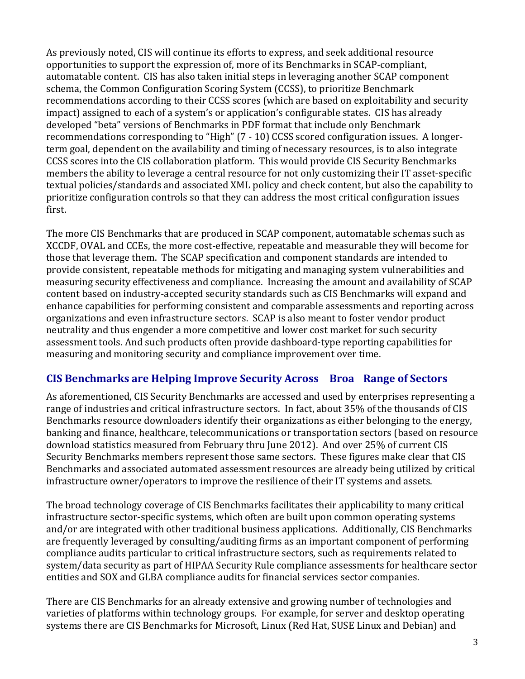As previously noted, CIS will continue its efforts to express, and seek additional resource opportunities to support the expression of, more of its Benchmarks in SCAP-compliant, automatable content. CIS has also taken initial steps in leveraging another SCAP component schema, the Common Configuration Scoring System (CCSS), to prioritize Benchmark recommendations according to their CCSS scores (which are based on exploitability and security impact) assigned to each of a system's or application's configurable states. CIS has already developed "beta" versions of Benchmarks in PDF format that include only Benchmark recommendations corresponding to "High" (7 - 10) CCSS scored configuration issues. A longerterm goal, dependent on the availability and timing of necessary resources, is to also integrate CCSS scores into the CIS collaboration platform. This would provide CIS Security Benchmarks members the ability to leverage a central resource for not only customizing their IT asset-specific textual policies/standards and associated XML policy and check content, but also the capability to prioritize configuration controls so that they can address the most critical configuration issues first.

The more CIS Benchmarks that are produced in SCAP component, automatable schemas such as XCCDF, OVAL and CCEs, the more cost-effective, repeatable and measurable they will become for those that leverage them. The SCAP specification and component standards are intended to provide consistent, repeatable methods for mitigating and managing system vulnerabilities and measuring security effectiveness and compliance. Increasing the amount and availability of SCAP content based on industry-accepted security standards such as CIS Benchmarks will expand and enhance capabilities for performing consistent and comparable assessments and reporting across organizations and even infrastructure sectors. SCAP is also meant to foster vendor product neutrality and thus engender a more competitive and lower cost market for such security assessment tools. And such products often provide dashboard-type reporting capabilities for measuring and monitoring security and compliance improvement over time.

# **CIS Benchmarks are Helping Improve Security Across Broa Range of Sectors**

As aforementioned, CIS Security Benchmarks are accessed and used by enterprises representing a range of industries and critical infrastructure sectors. In fact, about 35% of the thousands of CIS Benchmarks resource downloaders identify their organizations as either belonging to the energy, banking and finance, healthcare, telecommunications or transportation sectors (based on resource download statistics measured from February thru June 2012). And over 25% of current CIS Security Benchmarks members represent those same sectors. These figures make clear that CIS Benchmarks and associated automated assessment resources are already being utilized by critical infrastructure owner/operators to improve the resilience of their IT systems and assets.

The broad technology coverage of CIS Benchmarks facilitates their applicability to many critical infrastructure sector-specific systems, which often are built upon common operating systems and/or are integrated with other traditional business applications. Additionally, CIS Benchmarks are frequently leveraged by consulting/auditing firms as an important component of performing compliance audits particular to critical infrastructure sectors, such as requirements related to system/data security as part of HIPAA Security Rule compliance assessments for healthcare sector entities and SOX and GLBA compliance audits for financial services sector companies.

There are CIS Benchmarks for an already extensive and growing number of technologies and varieties of platforms within technology groups. For example, for server and desktop operating systems there are CIS Benchmarks for Microsoft, Linux (Red Hat, SUSE Linux and Debian) and